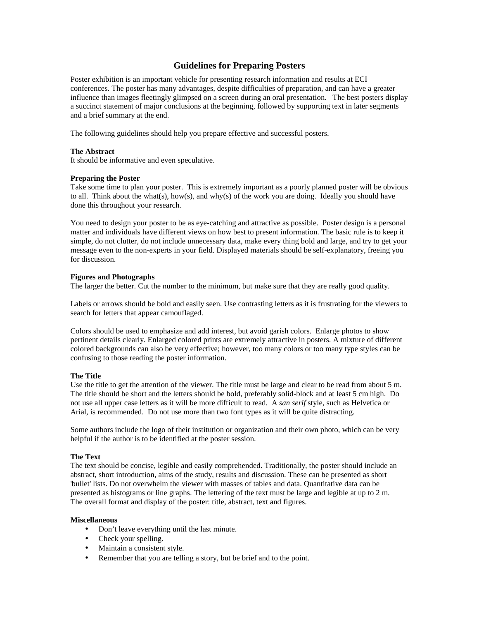## **Guidelines for Preparing Posters**

Poster exhibition is an important vehicle for presenting research information and results at ECI conferences. The poster has many advantages, despite difficulties of preparation, and can have a greater influence than images fleetingly glimpsed on a screen during an oral presentation. The best posters display a succinct statement of major conclusions at the beginning, followed by supporting text in later segments and a brief summary at the end.

The following guidelines should help you prepare effective and successful posters.

#### **The Abstract**

It should be informative and even speculative.

#### **Preparing the Poster**

Take some time to plan your poster. This is extremely important as a poorly planned poster will be obvious to all. Think about the what(s), how(s), and why(s) of the work you are doing. Ideally you should have done this throughout your research.

You need to design your poster to be as eye-catching and attractive as possible. Poster design is a personal matter and individuals have different views on how best to present information. The basic rule is to keep it simple, do not clutter, do not include unnecessary data, make every thing bold and large, and try to get your message even to the non-experts in your field. Displayed materials should be self-explanatory, freeing you for discussion.

## **Figures and Photographs**

The larger the better. Cut the number to the minimum, but make sure that they are really good quality.

Labels or arrows should be bold and easily seen. Use contrasting letters as it is frustrating for the viewers to search for letters that appear camouflaged.

Colors should be used to emphasize and add interest, but avoid garish colors. Enlarge photos to show pertinent details clearly. Enlarged colored prints are extremely attractive in posters. A mixture of different colored backgrounds can also be very effective; however, too many colors or too many type styles can be confusing to those reading the poster information.

## **The Title**

Use the title to get the attention of the viewer. The title must be large and clear to be read from about 5 m. The title should be short and the letters should be bold, preferably solid-block and at least 5 cm high. Do not use all upper case letters as it will be more difficult to read. A *san serif* style, such as Helvetica or Arial, is recommended. Do not use more than two font types as it will be quite distracting.

Some authors include the logo of their institution or organization and their own photo, which can be very helpful if the author is to be identified at the poster session.

#### **The Text**

The text should be concise, legible and easily comprehended. Traditionally, the poster should include an abstract, short introduction, aims of the study, results and discussion. These can be presented as short 'bullet' lists. Do not overwhelm the viewer with masses of tables and data. Quantitative data can be presented as histograms or line graphs. The lettering of the text must be large and legible at up to 2 m. The overall format and display of the poster: title, abstract, text and figures.

#### **Miscellaneous**

- Don't leave everything until the last minute.
- Check your spelling.
- Maintain a consistent style.
- Remember that you are telling a story, but be brief and to the point.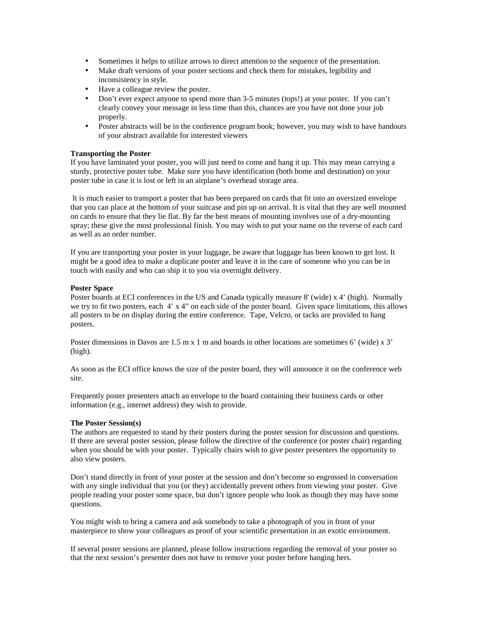- Sometimes it helps to utilize arrows to direct attention to the sequence of the presentation.
- Make draft versions of your poster sections and check them for mistakes, legibility and inconsistency in style.
- Have a colleague review the poster.
- Don't ever expect anyone to spend more than 3-5 minutes (tops!) at your poster. If you can't clearly convey your message in less time than this, chances are you have not done your job properly.
- Poster abstracts will be in the conference program book; however, you may wish to have handouts of your abstract available for interested viewers

## **Transporting the Poster**

If you have laminated your poster, you will just need to come and hang it up. This may mean carrying a sturdy, protective poster tube. Make sure you have identification (both home and destination) on your poster tube in case it is lost or left in an airplane's overhead storage area.

 It is much easier to transport a poster that has been prepared on cards that fit into an oversized envelope that you can place at the bottom of your suitcase and pin up on arrival. It is vital that they are well mounted on cards to ensure that they lie flat. By far the best means of mounting involves use of a dry-mounting spray; these give the most professional finish. You may wish to put your name on the reverse of each card as well as an order number.

If you are transporting your poster in your luggage, be aware that luggage has been known to get lost. It might be a good idea to make a duplicate poster and leave it in the care of someone who you can be in touch with easily and who can ship it to you via overnight delivery.

## **Poster Space**

Poster boards at ECI conferences in the US and Canada typically measure 8' (wide) x 4' (high). Normally we try to fit two posters, each 4' x 4" on each side of the poster board. Given space limitations, this allows all posters to be on display during the entire conference. Tape, Velcro, or tacks are provided to hang posters.

Poster dimensions in Davos are 1.5 m x 1 m and boards in other locations are sometimes 6' (wide) x 3' (high).

As soon as the ECI office knows the size of the poster board, they will announce it on the conference web site.

Frequently poster presenters attach an envelope to the board containing their business cards or other information (e.g., internet address) they wish to provide.

#### **The Poster Session(s)**

The authors are requested to stand by their posters during the poster session for discussion and questions. If there are several poster session, please follow the directive of the conference (or poster chair) regarding when you should be with your poster. Typically chairs wish to give poster presenters the opportunity to also view posters.

Don't stand directly in front of your poster at the session and don't become so engrossed in conversation with any single individual that you (or they) accidentally prevent others from viewing your poster. Give people reading your poster some space, but don't ignore people who look as though they may have some questions.

You might wish to bring a camera and ask somebody to take a photograph of you in front of your masterpiece to show your colleagues as proof of your scientific presentation in an exotic environment.

If several poster sessions are planned, please follow instructions regarding the removal of your poster so that the next session's presenter does not have to remove your poster before hanging hers.